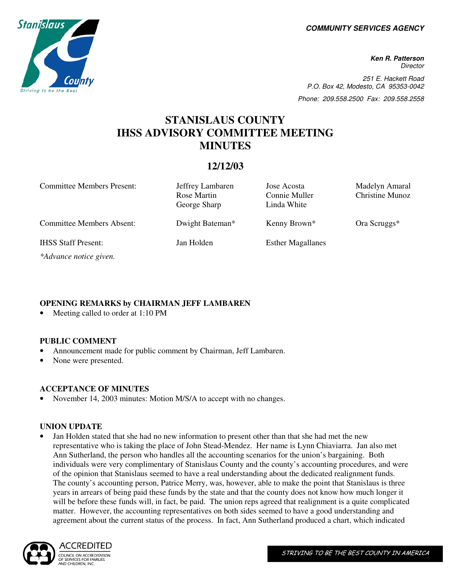**COMMUNITY SERVICES AGENCY** 

**Ken R. Patterson Director** 251 E. Hackett Road P.O. Box 42, Modesto, CA 95353-0042 Phone: 209.558.2500 Fax: 209.558.2558

# **STANISLAUS COUNTY IHSS ADVISORY COMMITTEE MEETING MINUTES**

# **12/12/03**

Committee Members Present: Jeffrey Lambaren Jose Acosta Madelyn Amaral Rose Martin Connie Muller Christine Munoz George Sharp Linda White Committee Members Absent: Dwight Bateman\* Kenny Brown\* Ora Scruggs\* IHSS Staff Present: Jan Holden Esther Magallanes *\*Advance notice given.* 

# **OPENING REMARKS by CHAIRMAN JEFF LAMBAREN**

Meeting called to order at 1:10 PM

## **PUBLIC COMMENT**

- Announcement made for public comment by Chairman, Jeff Lambaren.
- None were presented.

## **ACCEPTANCE OF MINUTES**

• November 14, 2003 minutes: Motion M/S/A to accept with no changes.

#### **UNION UPDATE**

• Jan Holden stated that she had no new information to present other than that she had met the new representative who is taking the place of John Stead-Mendez. Her name is Lynn Chiaviarra. Jan also met Ann Sutherland, the person who handles all the accounting scenarios for the union's bargaining. Both individuals were very complimentary of Stanislaus County and the county's accounting procedures, and were of the opinion that Stanislaus seemed to have a real understanding about the dedicated realignment funds. The county's accounting person, Patrice Merry, was, however, able to make the point that Stanislaus is three years in arrears of being paid these funds by the state and that the county does not know how much longer it will be before these funds will, in fact, be paid. The union reps agreed that realignment is a quite complicated matter. However, the accounting representatives on both sides seemed to have a good understanding and agreement about the current status of the process. In fact, Ann Sutherland produced a chart, which indicated



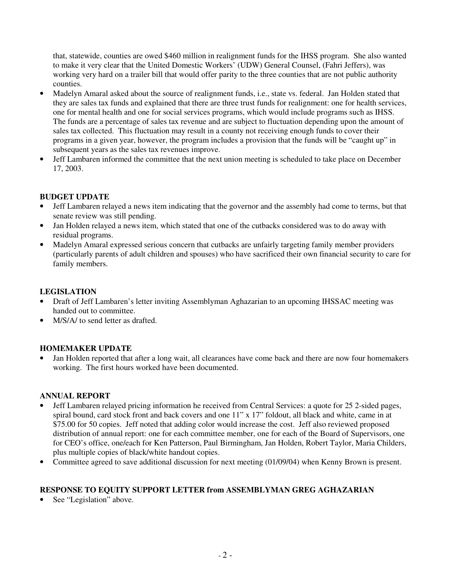that, statewide, counties are owed \$460 million in realignment funds for the IHSS program. She also wanted to make it very clear that the United Domestic Workers' (UDW) General Counsel, (Fahri Jeffers), was working very hard on a trailer bill that would offer parity to the three counties that are not public authority counties.

- Madelyn Amaral asked about the source of realignment funds, i.e., state vs. federal. Jan Holden stated that they are sales tax funds and explained that there are three trust funds for realignment: one for health services, one for mental health and one for social services programs, which would include programs such as IHSS. The funds are a percentage of sales tax revenue and are subject to fluctuation depending upon the amount of sales tax collected. This fluctuation may result in a county not receiving enough funds to cover their programs in a given year, however, the program includes a provision that the funds will be "caught up" in subsequent years as the sales tax revenues improve.
- Jeff Lambaren informed the committee that the next union meeting is scheduled to take place on December 17, 2003.

# **BUDGET UPDATE**

- Jeff Lambaren relayed a news item indicating that the governor and the assembly had come to terms, but that senate review was still pending.
- Jan Holden relayed a news item, which stated that one of the cutbacks considered was to do away with residual programs.
- Madelyn Amaral expressed serious concern that cutbacks are unfairly targeting family member providers (particularly parents of adult children and spouses) who have sacrificed their own financial security to care for family members.

# **LEGISLATION**

- Draft of Jeff Lambaren's letter inviting Assemblyman Aghazarian to an upcoming IHSSAC meeting was handed out to committee.
- M/S/A/ to send letter as drafted.

# **HOMEMAKER UPDATE**

Jan Holden reported that after a long wait, all clearances have come back and there are now four homemakers working. The first hours worked have been documented.

## **ANNUAL REPORT**

- Jeff Lambaren relayed pricing information he received from Central Services: a quote for 25 2-sided pages, spiral bound, card stock front and back covers and one 11" x 17" foldout, all black and white, came in at \$75.00 for 50 copies. Jeff noted that adding color would increase the cost. Jeff also reviewed proposed distribution of annual report: one for each committee member, one for each of the Board of Supervisors, one for CEO's office, one/each for Ken Patterson, Paul Birmingham, Jan Holden, Robert Taylor, Maria Childers, plus multiple copies of black/white handout copies.
- Committee agreed to save additional discussion for next meeting (01/09/04) when Kenny Brown is present.

# **RESPONSE TO EQUITY SUPPORT LETTER from ASSEMBLYMAN GREG AGHAZARIAN**

See "Legislation" above.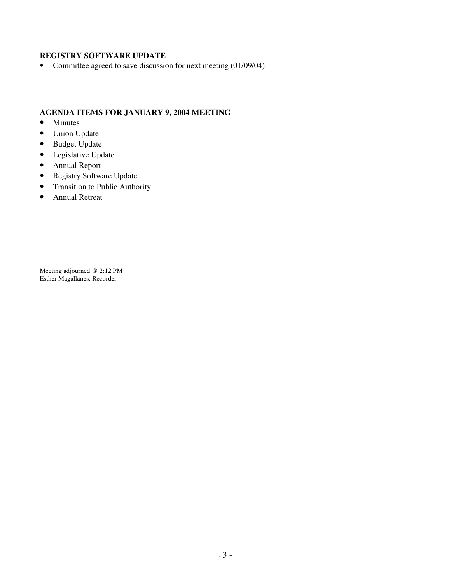# **REGISTRY SOFTWARE UPDATE**

• Committee agreed to save discussion for next meeting (01/09/04).

# **AGENDA ITEMS FOR JANUARY 9, 2004 MEETING**

- Minutes
- Union Update
- Budget Update
- Legislative Update
- Annual Report
- Registry Software Update
- Transition to Public Authority
- Annual Retreat

Meeting adjourned @ 2:12 PM Esther Magallanes, Recorder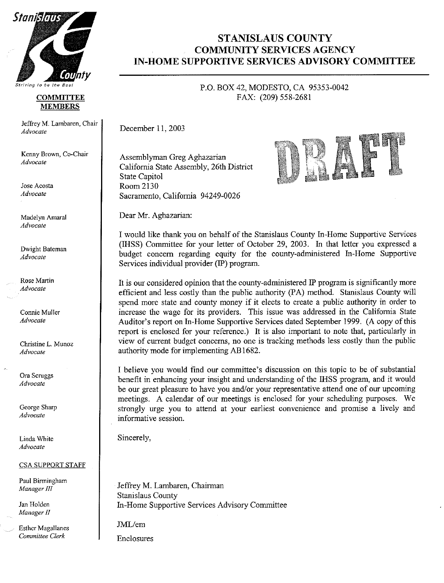

#### **COMMITTEE MEMBERS**

Jeffrey M. Lambaren, Chair Advocate

Kenny Brown, Co-Chair Advocate

Jose Acosta Advocate

Madelyn Amaral Advocate

Dwight Bateman Advocate

Rose Martin Advocate

Connie Muller Advocate

Christine L. Munoz Advocate

Ora Scruggs Advocate

George Sharp Advocate

Linda White Advocate

#### **CSA SUPPORT STAFF**

Paul Birmingham Manager III

Jan Holden Manager II

**Esther Magallanes** Committee Clerk

# **STANISLAUS COUNTY COMMUNITY SERVICES AGENCY IN-HOME SUPPORTIVE SERVICES ADVISORY COMMITTEE**

P.O. BOX 42, MODESTO, CA 95353-0042 FAX: (209) 558-2681

December 11, 2003

Assemblyman Greg Aghazarian California State Assembly, 26th District **State Capitol** Room 2130 Sacramento, California 94249-0026

Dear Mr. Aghazarian:

I would like thank you on behalf of the Stanislaus County In-Home Supportive Services (IHSS) Committee for your letter of October 29, 2003. In that letter you expressed a budget concern regarding equity for the county-administered In-Home Supportive Services individual provider (IP) program.

It is our considered opinion that the county-administered IP program is significantly more efficient and less costly than the public authority (PA) method. Stanislaus County will spend more state and county money if it elects to create a public authority in order to increase the wage for its providers. This issue was addressed in the California State Auditor's report on In-Home Supportive Services dated September 1999. (A copy of this report is enclosed for your reference.) It is also important to note that, particularly in view of current budget concerns, no one is tracking methods less costly than the public authority mode for implementing AB1682.

I believe you would find our committee's discussion on this topic to be of substantial benefit in enhancing your insight and understanding of the IHSS program, and it would be our great pleasure to have you and/or your representative attend one of our upcoming meetings. A calendar of our meetings is enclosed for your scheduling purposes. We strongly urge you to attend at your earliest convenience and promise a lively and informative session.

Sincerely.

Jeffrey M. Lambaren, Chairman **Stanislaus County** In-Home Supportive Services Advisory Committee

JML/em

Enclosures

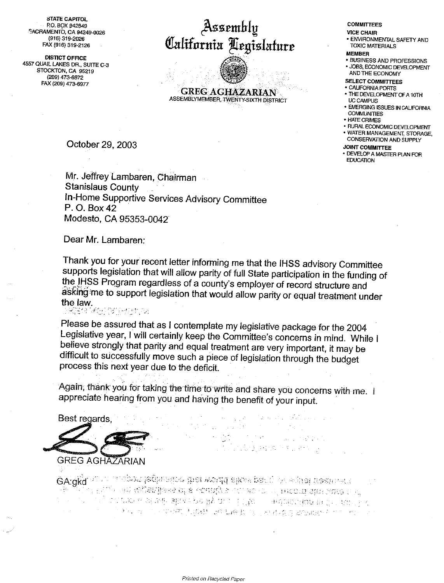**STATE CAPITOL** P.O. BOX 942849 SACRAMENTO, CA 94249-0026 (916) 319-2026 FAX (916) 319-2126

**DISTICT OFFICE** 4557 QUAIL LAKES DR., SUITE C-3 STOCKTON, CA 95219 (209) 473-6972 FAX (209) 473-6977

# Assembly California Legislature

**GREG AGHAZARIAN** ASSEMBLYMEMBER, TWENTY-SIXTH DISTRICT

## October 29, 2003

Mr. Jeffrey Lambaren, Chairman **Stanislaus County** In-Home Supportive Services Advisory Committee P. O. Box 42 Modesto, CA 95353-0042

Dear Mr. Lambaren:

Thank you for your recent letter informing me that the IHSS advisory Committee supports legislation that will allow parity of full State participation in the funding of the IHSS Program regardless of a county's employer of record structure and asking me to support legislation that would allow parity or equal treatment under the law. 장학을 당해 달아들이 보

Please be assured that as I contemplate my legislative package for the 2004 Legislative year, I will certainly keep the Committee's concerns in mind. While I believe strongly that parity and equal treatment are very important, it may be difficult to successfully move such a piece of legislation through the budget process this next year due to the deficit.

Again, thank you for taking the time to write and share you concerns with me. I appreciate hearing from you and having the benefit of your input.

 $\sim$ 

(2) 2012年4月

法法国法院 医加拿大

Best regards. **GREG AGHAZARIAN** 

GA:aka is a mathor teglamica that would also part of equal next natural ្រះ ប្រ<sub>ប</sub>្រមាន ខេត្ត<del>នាងរៀននុង ០</del>ខែ ប្រធានវិទ្យា លោ ៥០ ០៣ កើតរាលារ៉ា នរិពាលរដ្ឋាន ០ នៅ (3) 的复数单离离板 粗碎结构 購入 自动软件 网络中的复数 指示部的手段 **"这些人是,你不能做到我的想法对我最具**的,也都会会会感到的人的。" 地名卡尔

#### **COMMITTEES**

#### **VICE CHAIR**

· ENVIRONMENTAL SAFETY AND **TOXIC MATERIALS** 

#### **MEMBED**

**. BUSINESS AND PROFESSIONS** · JOBS, ECONOMIC DEVELOPMENT AND THE ECONOMY

#### **SELECT COMMITTEES**

- CALIFORNIA PORTS
- THE DEVELOPMENT OF A 10TH UC CAMPUS
- **. EMERGING ISSUES IN CALIFORNIA COMMUNITIES**
- HATE CRIMES
- \* RURAL ECONOMIC DEVELOPMENT
- · WATER MANAGEMENT, STORAGE, **CONSERVATION AND SUPPLY**

#### **JOINT COMMITTEE**

· DEVELOP A MASTER PLAN FOR **EDUCATION**